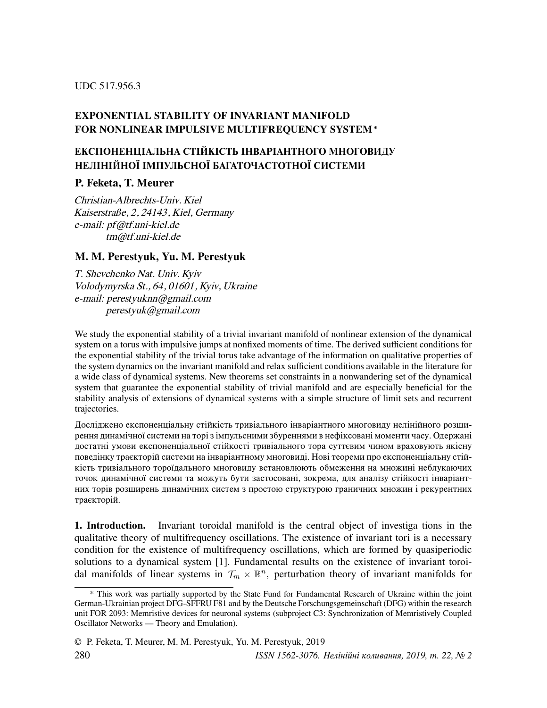#### UDC 517.956.3

## EXPONENTIAL STABILITY OF INVARIANT MANIFOLD FOR NONLINEAR IMPULSIVE MULTIFREQUENCY SYSTEM<sup>∗</sup>

# ЕКСПОНЕНЦIАЛЬНА СТIЙКIСТЬ IНВАРIАНТНОГО МНОГОВИДУ НЕЛIНIЙНОЇ IМПУЛЬСНОЇ БАГАТОЧАСТОТНОЇ СИСТЕМИ

## P. Feketa, T. Meurer

Christian-Albrechts-Univ. Kiel Kaiserstraße, 2, 24143, Kiel, Germany e-mail: pf@tf.uni-kiel.de tm@tf.uni-kiel.de

### M. M. Perestyuk, Yu. M. Perestyuk

T. Shevchenko Nat. Univ. Kyiv Volodymyrska St., 64, 01601, Kyiv, Ukraine e-mail: perestyuknn@gmail.com perestyuk@gmail.com

We study the exponential stability of a trivial invariant manifold of nonlinear extension of the dynamical system on a torus with impulsive jumps at nonfixed moments of time. The derived sufficient conditions for the exponential stability of the trivial torus take advantage of the information on qualitative properties of the system dynamics on the invariant manifold and relax sufficient conditions available in the literature for a wide class of dynamical systems. New theorems set constraints in a nonwandering set of the dynamical system that guarantee the exponential stability of trivial manifold and are especially beneficial for the stability analysis of extensions of dynamical systems with a simple structure of limit sets and recurrent trajectories.

Дослiджено експоненцiальну стiйкiсть тривiального iнварiантного многовиду нелiнiйного розширення динамiчної системи на торi з iмпульсними збуреннями в нефiксованi моменти часу. Одержанi достатнi умови експоненцiальної стiйкостi тривiального тора суттєвим чином враховують якiсну поведiнку траєкторiй системи на iнварiантному многовидi. Новi теореми про експоненцiальну стiйкiсть тривiального тороїдального многовиду встановлюють обмеження на множинi неблукаючих точок динамiчної системи та можуть бути застосованi, зокрема, для аналiзу стiйкостi iнварiантних торiв розширень динамiчних систем з простою структурою граничних множин i рекурентних траєкторiй.

1. Introduction. Invariant toroidal manifold is the central object of investiga tions in the qualitative theory of multifrequency oscillations. The existence of invariant tori is a necessary condition for the existence of multifrequency oscillations, which are formed by quasiperiodic solutions to a dynamical system [1]. Fundamental results on the existence of invariant toroidal manifolds of linear systems in  $\mathcal{T}_m \times \mathbb{R}^n$ , perturbation theory of invariant manifolds for

<sup>\*</sup> This work was partially supported by the State Fund for Fundamental Research of Ukraine within the joint German-Ukrainian project DFG-SFFRU F81 and by the Deutsche Forschungsgemeinschaft (DFG) within the research unit FOR 2093: Memristive devices for neuronal systems (subproject C3: Synchronization of Memristively Coupled Oscillator Networks — Theory and Emulation).

<sup>©</sup> P. Feketa, T. Meurer, M. M. Perestyuk, Yu. M. Perestyuk, 2019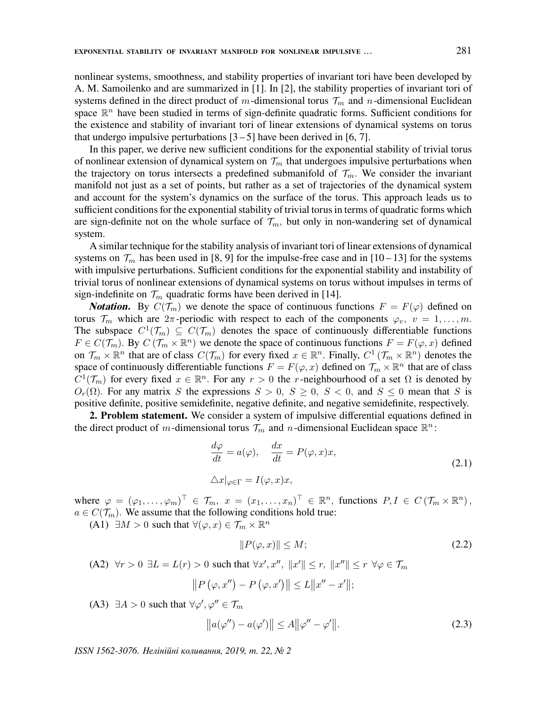nonlinear systems, smoothness, and stability properties of invariant tori have been developed by A. M. Samoilenko and are summarized in [1]. In [2], the stability properties of invariant tori of systems defined in the direct product of m-dimensional torus  $\mathcal{T}_m$  and n-dimensional Euclidean space  $\mathbb{R}^n$  have been studied in terms of sign-definite quadratic forms. Sufficient conditions for the existence and stability of invariant tori of linear extensions of dynamical systems on torus that undergo impulsive perturbations  $[3-5]$  have been derived in  $[6, 7]$ .

In this paper, we derive new sufficient conditions for the exponential stability of trivial torus of nonlinear extension of dynamical system on  $\mathcal{T}_m$  that undergoes impulsive perturbations when the trajectory on torus intersects a predefined submanifold of  $\mathcal{T}_m$ . We consider the invariant manifold not just as a set of points, but rather as a set of trajectories of the dynamical system and account for the system's dynamics on the surface of the torus. This approach leads us to sufficient conditions for the exponential stability of trivial torus in terms of quadratic forms which are sign-definite not on the whole surface of  $\mathcal{T}_m$ , but only in non-wandering set of dynamical system.

A similar technique for the stability analysis of invariant tori of linear extensions of dynamical systems on  $\mathcal{T}_m$  has been used in [8, 9] for the impulse-free case and in [10 – 13] for the systems with impulsive perturbations. Sufficient conditions for the exponential stability and instability of trivial torus of nonlinear extensions of dynamical systems on torus without impulses in terms of sign-indefinite on  $\mathcal{T}_m$  quadratic forms have been derived in [14].

**Notation.** By  $C(\mathcal{T}_m)$  we denote the space of continuous functions  $F = F(\varphi)$  defined on torus  $\mathcal{T}_m$  which are  $2\pi$ -periodic with respect to each of the components  $\varphi_v$ ,  $v = 1, \ldots, m$ . The subspace  $C^1(\mathcal{T}_m) \subseteq C(\mathcal{T}_m)$  denotes the space of continuously differentiable functions  $F \in C(\mathcal{T}_m)$ . By  $C(\mathcal{T}_m \times \mathbb{R}^n)$  we denote the space of continuous functions  $F = F(\varphi, x)$  defined on  $\mathcal{T}_m \times \mathbb{R}^n$  that are of class  $C(\mathcal{T}_m)$  for every fixed  $x \in \mathbb{R}^n$ . Finally,  $C^1(\mathcal{T}_m \times \mathbb{R}^n)$  denotes the space of continuously differentiable functions  $F = F(\varphi, x)$  defined on  $\mathcal{T}_m \times \mathbb{R}^n$  that are of class  $C^1(\mathcal{T}_m)$  for every fixed  $x \in \mathbb{R}^n$ . For any  $r > 0$  the r-neighbourhood of a set  $\Omega$  is denoted by  $O_r(\Omega)$ . For any matrix S the expressions  $S > 0$ ,  $S \ge 0$ ,  $S < 0$ , and  $S \le 0$  mean that S is positive definite, positive semidefinite, negative definite, and negative semidefinite, respectively.

2. Problem statement. We consider a system of impulsive differential equations defined in the direct product of m-dimensional torus  $\mathcal{T}_m$  and n-dimensional Euclidean space  $\mathbb{R}^n$ :

$$
\frac{d\varphi}{dt} = a(\varphi), \quad \frac{dx}{dt} = P(\varphi, x)x,
$$
  

$$
\Delta x|_{\varphi \in \Gamma} = I(\varphi, x)x,
$$
\n(2.1)

where  $\varphi = (\varphi_1, \ldots, \varphi_m)^\top \in \mathcal{T}_m$ ,  $x = (x_1, \ldots, x_n)^\top \in \mathbb{R}^n$ , functions  $P, I \in C(\mathcal{T}_m \times \mathbb{R}^n)$ ,  $a \in C(\mathcal{T}_m)$ . We assume that the following conditions hold true:

(A1)  $\exists M > 0$  such that  $\forall (\varphi, x) \in \mathcal{T}_m \times \mathbb{R}^n$ 

$$
||P(\varphi, x)|| \le M; \tag{2.2}
$$

(A2)  $\forall r > 0 \ \exists L = L(r) > 0$  such that  $\forall x', x'', \|x'\| \le r, \|x''\| \le r \ \forall \varphi \in \mathcal{T}_m$  $||P(\varphi, x'') - P(\varphi, x')|| \leq L||x'' - x'||;$ 

(A3)  $\exists A > 0$  such that  $\forall \varphi', \varphi'' \in \mathcal{T}_m$ 

$$
||a(\varphi'') - a(\varphi')|| \le A||\varphi'' - \varphi'||. \tag{2.3}
$$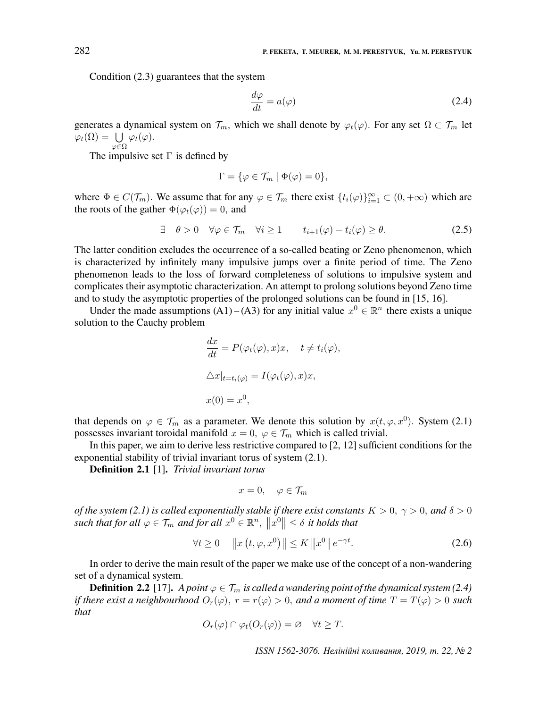Condition (2.3) guarantees that the system

$$
\frac{d\varphi}{dt} = a(\varphi) \tag{2.4}
$$

generates a dynamical system on  $\mathcal{T}_m$ , which we shall denote by  $\varphi_t(\varphi)$ . For any set  $\Omega \subset \mathcal{T}_m$  let  $\varphi_t(\Omega) = \bigcup \varphi_t(\varphi).$  $\varphi$ ∈Ω

The impulsive set  $\Gamma$  is defined by

$$
\Gamma = \{ \varphi \in \mathcal{T}_m \mid \Phi(\varphi) = 0 \},
$$

where  $\Phi \in C(\mathcal{T}_m)$ . We assume that for any  $\varphi \in \mathcal{T}_m$  there exist  $\{t_i(\varphi)\}_{i=1}^{\infty} \subset (0, +\infty)$  which are the roots of the gather  $\Phi(\varphi_t(\varphi)) = 0$ , and

$$
\exists \quad \theta > 0 \quad \forall \varphi \in \mathcal{T}_m \quad \forall i \ge 1 \qquad t_{i+1}(\varphi) - t_i(\varphi) \ge \theta. \tag{2.5}
$$

The latter condition excludes the occurrence of a so-called beating or Zeno phenomenon, which is characterized by infinitely many impulsive jumps over a finite period of time. The Zeno phenomenon leads to the loss of forward completeness of solutions to impulsive system and complicates their asymptotic characterization. An attempt to prolong solutions beyond Zeno time and to study the asymptotic properties of the prolonged solutions can be found in [15, 16].

Under the made assumptions (A1) – (A3) for any initial value  $x^0 \in \mathbb{R}^n$  there exists a unique solution to the Cauchy problem

$$
\frac{dx}{dt} = P(\varphi_t(\varphi), x)x, \quad t \neq t_i(\varphi),
$$
  

$$
\Delta x|_{t=t_i(\varphi)} = I(\varphi_t(\varphi), x)x,
$$
  

$$
x(0) = x^0,
$$

that depends on  $\varphi \in \mathcal{T}_m$  as a parameter. We denote this solution by  $x(t, \varphi, x^0)$ . System (2.1) possesses invariant toroidal manifold  $x = 0$ ,  $\varphi \in \mathcal{T}_m$  which is called trivial.

In this paper, we aim to derive less restrictive compared to [2, 12] sufficient conditions for the exponential stability of trivial invariant torus of system (2.1).

Definition 2.1 [1]. Trivial invariant torus

$$
x=0, \quad \varphi \in \mathcal{T}_m
$$

of the system (2.1) is called exponentially stable if there exist constants  $K > 0$ ,  $\gamma > 0$ , and  $\delta > 0$ such that for all  $\varphi \in \mathcal{T}_m$  and for all  $x^0 \in \mathbb{R}^n$ ,  $||x^0|| \leq \delta$  it holds that

$$
\forall t \ge 0 \quad \|x(t, \varphi, x^0)\| \le K \|x^0\| \, e^{-\gamma t}.\tag{2.6}
$$

In order to derive the main result of the paper we make use of the concept of a non-wandering set of a dynamical system.

**Definition 2.2** [17]. A point  $\varphi \in \mathcal{T}_m$  is called a wandering point of the dynamical system (2.4) if there exist a neighbourhood  $O_r(\varphi)$ ,  $r = r(\varphi) > 0$ , and a moment of time  $T = T(\varphi) > 0$  such that

$$
O_r(\varphi) \cap \varphi_t(O_r(\varphi)) = \varnothing \quad \forall t \geq T.
$$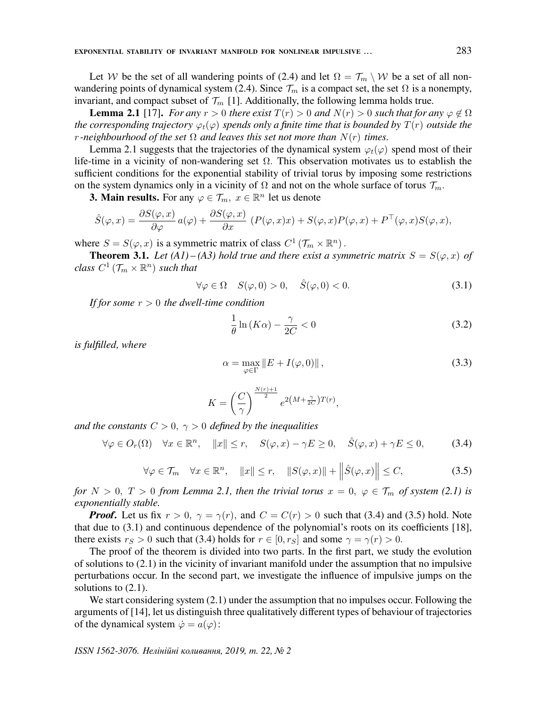Let W be the set of all wandering points of (2.4) and let  $\Omega = \mathcal{T}_m \setminus \mathcal{W}$  be a set of all nonwandering points of dynamical system (2.4). Since  $\mathcal{T}_m$  is a compact set, the set  $\Omega$  is a nonempty, invariant, and compact subset of  $\mathcal{T}_m$  [1]. Additionally, the following lemma holds true.

**Lemma 2.1** [17]. For any  $r > 0$  there exist  $T(r) > 0$  and  $N(r) > 0$  such that for any  $\varphi \notin \Omega$ the corresponding trajectory  $\varphi_t(\varphi)$  spends only a finite time that is bounded by  $T(r)$  outside the r-neighbourhood of the set  $\Omega$  and leaves this set not more than  $N(r)$  times.

Lemma 2.1 suggests that the trajectories of the dynamical system  $\varphi_t(\varphi)$  spend most of their life-time in a vicinity of non-wandering set  $\Omega$ . This observation motivates us to establish the sufficient conditions for the exponential stability of trivial torus by imposing some restrictions on the system dynamics only in a vicinity of  $\Omega$  and not on the whole surface of torus  $\mathcal{T}_m$ .

**3. Main results.** For any  $\varphi \in \mathcal{T}_m$ ,  $x \in \mathbb{R}^n$  let us denote

$$
\hat{S}(\varphi, x) = \frac{\partial S(\varphi, x)}{\partial \varphi} a(\varphi) + \frac{\partial S(\varphi, x)}{\partial x} (P(\varphi, x)x) + S(\varphi, x)P(\varphi, x) + P^{\top}(\varphi, x)S(\varphi, x),
$$

where  $S = S(\varphi, x)$  is a symmetric matrix of class  $C^1(\mathcal{T}_m \times \mathbb{R}^n)$ .

**Theorem 3.1.** Let (A1) – (A3) hold true and there exist a symmetric matrix  $S = S(\varphi, x)$  of class  $C^1$   $(\mathcal{T}_m\times \mathbb{R}^n)$  such that

$$
\forall \varphi \in \Omega \quad S(\varphi, 0) > 0, \quad \hat{S}(\varphi, 0) < 0. \tag{3.1}
$$

If for some  $r > 0$  the dwell-time condition

$$
\frac{1}{\theta} \ln(K\alpha) - \frac{\gamma}{2C} < 0 \tag{3.2}
$$

is fulfilled, where

$$
\alpha = \max_{\varphi \in \Gamma} \|E + I(\varphi, 0)\|,\tag{3.3}
$$

$$
K = \left(\frac{C}{\gamma}\right)^{\frac{N(r)+1}{2}} e^{2\left(M + \frac{\gamma}{2C}\right)T(r)},
$$

and the constants  $C > 0$ ,  $\gamma > 0$  defined by the inequalities

$$
\forall \varphi \in O_r(\Omega) \quad \forall x \in \mathbb{R}^n, \quad \|x\| \le r, \quad S(\varphi, x) - \gamma E \ge 0, \quad \hat{S}(\varphi, x) + \gamma E \le 0,\tag{3.4}
$$

$$
\forall \varphi \in \mathcal{T}_m \quad \forall x \in \mathbb{R}^n, \quad \|x\| \le r, \quad \|S(\varphi, x)\| + \left\|\hat{S}(\varphi, x)\right\| \le C,\tag{3.5}
$$

for  $N > 0$ ,  $T > 0$  from Lemma 2.1, then the trivial torus  $x = 0$ ,  $\varphi \in \mathcal{T}_m$  of system (2.1) is exponentially stable.

**Proof.** Let us fix  $r > 0$ ,  $\gamma = \gamma(r)$ , and  $C = C(r) > 0$  such that (3.4) and (3.5) hold. Note that due to (3.1) and continuous dependence of the polynomial's roots on its coefficients [18], there exists  $r_S > 0$  such that (3.4) holds for  $r \in [0, r_S]$  and some  $\gamma = \gamma(r) > 0$ .

The proof of the theorem is divided into two parts. In the first part, we study the evolution of solutions to (2.1) in the vicinity of invariant manifold under the assumption that no impulsive perturbations occur. In the second part, we investigate the influence of impulsive jumps on the solutions to  $(2.1)$ .

We start considering system  $(2.1)$  under the assumption that no impulses occur. Following the arguments of [14], let us distinguish three qualitatively different types of behaviour of trajectories of the dynamical system  $\dot{\varphi} = a(\varphi)$ :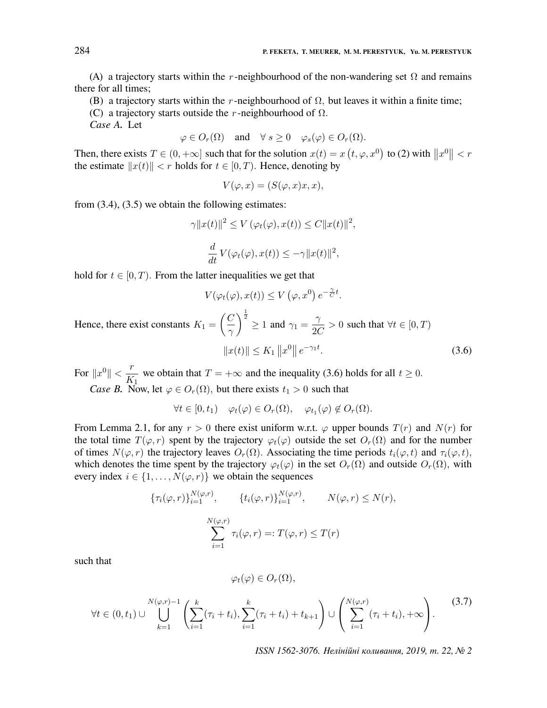(A) a trajectory starts within the r-neighbourhood of the non-wandering set  $\Omega$  and remains there for all times;

(B) a trajectory starts within the r-neighbourhood of  $\Omega$ , but leaves it within a finite time;

(C) a trajectory starts outside the r-neighbourhood of  $\Omega$ .

Case A. Let

$$
\varphi \in O_r(\Omega)
$$
 and  $\forall s \ge 0$   $\varphi_s(\varphi) \in O_r(\Omega)$ .

Then, there exists  $T \in (0, +\infty]$  such that for the solution  $x(t) = x(t, \varphi, x^0)$  to (2) with  $||x^0|| < r$ the estimate  $||x(t)|| < r$  holds for  $t \in [0, T)$ . Hence, denoting by

$$
V(\varphi, x) = (S(\varphi, x)x, x),
$$

from  $(3.4)$ ,  $(3.5)$  we obtain the following estimates:

$$
\gamma ||x(t)||^2 \le V(\varphi_t(\varphi), x(t)) \le C ||x(t)||^2,
$$
  

$$
\frac{d}{d} \mathcal{L}(\varphi_t(\varphi), \varphi_t(\varphi)) \le C ||x(t)||^2.
$$

$$
\frac{d}{dt}V(\varphi_t(\varphi), x(t)) \leq -\gamma ||x(t)||^2,
$$

hold for  $t \in [0, T)$ . From the latter inequalities we get that

$$
V(\varphi_t(\varphi), x(t)) \le V(\varphi, x^0) e^{-\frac{\gamma}{C}t}.
$$
  
Hence, there exist constants  $K_1 = \left(\frac{C}{\gamma}\right)^{\frac{1}{2}} \ge 1$  and  $\gamma_1 = \frac{\gamma}{2C} > 0$  such that  $\forall t \in [0, T)$   

$$
||x(t)|| \le K_1 ||x^0|| e^{-\gamma_1 t}.
$$
 (3.6)

For  $||x^0|| < \frac{r}{K}$ we obtain that  $T = +\infty$  and the inequality (3.6) holds for all  $t \ge 0$ .

*Case B.* Now, let  $\varphi \in O_r(\Omega)$ , but there exists  $t_1 > 0$  such that

$$
\forall t \in [0, t_1) \quad \varphi_t(\varphi) \in O_r(\Omega), \quad \varphi_{t_1}(\varphi) \notin O_r(\Omega).
$$

From Lemma 2.1, for any  $r > 0$  there exist uniform w.r.t.  $\varphi$  upper bounds  $T(r)$  and  $N(r)$  for the total time  $T(\varphi, r)$  spent by the trajectory  $\varphi_t(\varphi)$  outside the set  $O_r(\Omega)$  and for the number of times  $N(\varphi, r)$  the trajectory leaves  $O_r(\Omega)$ . Associating the time periods  $t_i(\varphi, t)$  and  $\tau_i(\varphi, t)$ , which denotes the time spent by the trajectory  $\varphi_t(\varphi)$  in the set  $O_r(\Omega)$  and outside  $O_r(\Omega)$ , with every index  $i \in \{1, \ldots, N(\varphi, r)\}\$  we obtain the sequences

$$
\{\tau_i(\varphi,r)\}_{i=1}^{N(\varphi,r)}, \qquad \{t_i(\varphi,r)\}_{i=1}^{N(\varphi,r)}, \qquad N(\varphi,r) \le N(r),
$$

$$
\sum_{i=1}^{N(\varphi,r)} \tau_i(\varphi,r) =: T(\varphi,r) \le T(r)
$$

such that

$$
\varphi_t(\varphi)\in O_r(\Omega),
$$

$$
\forall t \in (0, t_1) \cup \bigcup_{k=1}^{N(\varphi, r)-1} \left( \sum_{i=1}^k (\tau_i + t_i), \sum_{i=1}^k (\tau_i + t_i) + t_{k+1} \right) \cup \left( \sum_{i=1}^{N(\varphi, r)} (\tau_i + t_i), +\infty \right). \tag{3.7}
$$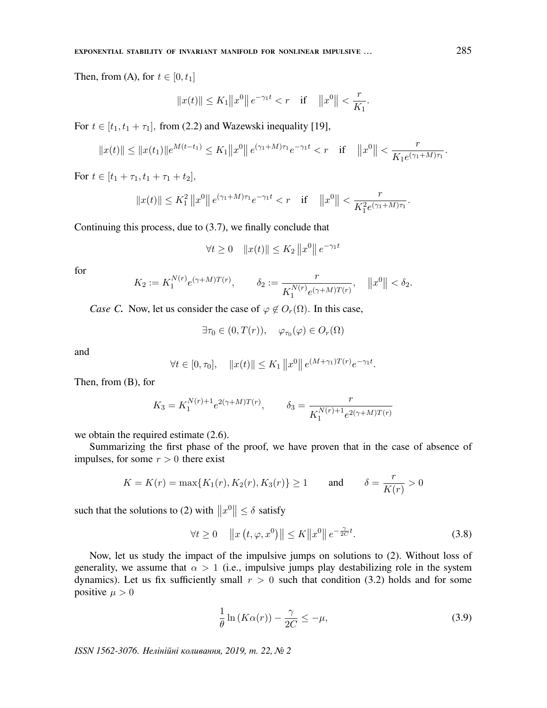Then, from (A), for  $t \in [0, t_1]$ 

$$
||x(t)|| \le K_1 ||x^0|| e^{-\gamma_1 t} < r
$$
 if  $||x^0|| < \frac{r}{K_1}$ .

For  $t \in [t_1, t_1 + \tau_1]$ , from (2.2) and Wazewski inequality [19],

$$
||x(t)|| \le ||x(t_1)||e^{M(t-t_1)} \le K_1 ||x^0|| e^{(\gamma_1+M)\tau_1}e^{-\gamma_1 t} < r \quad \text{if} \quad ||x^0|| < \frac{r}{K_1 e^{(\gamma_1+M)\tau_1}}.
$$

For  $t \in [t_1 + \tau_1, t_1 + \tau_1 + t_2],$ 

$$
||x(t)|| \le K_1^2 ||x^0|| e^{(\gamma_1 + M)\tau_1} e^{-\gamma_1 t} < r
$$
 if  $||x^0|| < \frac{r}{K_1^2 e^{(\gamma_1 + M)\tau_1}}$ .

Continuing this process, due to (3.7), we finally conclude that

$$
\forall t \ge 0 \quad ||x(t)|| \le K_2 ||x^0|| e^{-\gamma_1 t}
$$

for

$$
K_2 := K_1^{N(r)} e^{(\gamma + M)T(r)}, \qquad \delta_2 := \frac{r}{K_1^{N(r)} e^{(\gamma + M)T(r)}}, \quad ||x^0|| < \delta_2.
$$

*Case C.* Now, let us consider the case of  $\varphi \notin O_r(\Omega)$ . In this case,

 $\exists \tau_0 \in (0, T(r)), \quad \varphi_{\tau_0}(\varphi) \in O_r(\Omega)$ 

and

$$
\forall t \in [0, \tau_0], \quad \|x(t)\| \le K_1 \|x^0\| \, e^{(M+\gamma_1)T(r)} e^{-\gamma_1 t}.
$$

Then, from (B), for

$$
K_3 = K_1^{N(r)+1} e^{2(\gamma+M)T(r)}, \qquad \delta_3 = \frac{r}{K_1^{N(r)+1} e^{2(\gamma+M)T(r)}}
$$

we obtain the required estimate (2.6).

Summarizing the first phase of the proof, we have proven that in the case of absence of impulses, for some  $r > 0$  there exist

$$
K = K(r) = \max\{K_1(r), K_2(r), K_3(r)\} \ge 1
$$
 and  $\delta = \frac{r}{K(r)} > 0$ 

such that the solutions to (2) with  $||x^0|| \le \delta$  satisfy

$$
\forall t \ge 0 \quad \|x(t, \varphi, x^0)\| \le K \|x^0\| \, e^{-\frac{\gamma}{2C}t}.\tag{3.8}
$$

Now, let us study the impact of the impulsive jumps on solutions to (2). Without loss of generality, we assume that  $\alpha > 1$  (i.e., impulsive jumps play destabilizing role in the system dynamics). Let us fix sufficiently small  $r > 0$  such that condition (3.2) holds and for some positive  $\mu > 0$ 

$$
\frac{1}{\theta} \ln(K\alpha(r)) - \frac{\gamma}{2C} \le -\mu,\tag{3.9}
$$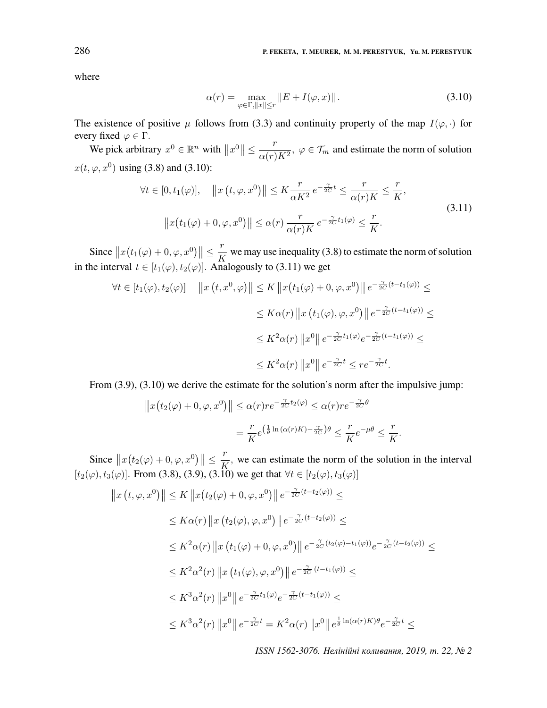where

$$
\alpha(r) = \max_{\varphi \in \Gamma, \|x\| \le r} \|E + I(\varphi, x)\|.
$$
 (3.10)

The existence of positive  $\mu$  follows from (3.3) and continuity property of the map  $I(\varphi, \cdot)$  for every fixed  $\varphi \in \Gamma$ .

We pick arbitrary  $x^0 \in \mathbb{R}^n$  with  $||x^0|| \leq \frac{r}{\alpha(r)}$  $\frac{1}{\alpha(r)K^2}$ ,  $\varphi \in \mathcal{T}_m$  and estimate the norm of solution  $x(t, \varphi, x^0)$  using (3.8) and (3.10):

$$
\forall t \in [0, t_1(\varphi)], \quad ||x(t, \varphi, x^0)|| \le K \frac{r}{\alpha K^2} e^{-\frac{\gamma}{2C}t} \le \frac{r}{\alpha(r)K} \le \frac{r}{K},
$$
  

$$
||x(t_1(\varphi) + 0, \varphi, x^0)|| \le \alpha(r) \frac{r}{\alpha(r)K} e^{-\frac{\gamma}{2C}t_1(\varphi)} \le \frac{r}{K}.
$$
 (3.11)

Since  $||x(t_1(\varphi) + 0, \varphi, x^0)|| \leq \frac{r}{K}$  $\frac{K}{K}$  we may use inequality (3.8) to estimate the norm of solution in the interval  $t \in [t_1(\varphi), t_2(\varphi)]$ . Analogously to (3.11) we get

$$
\forall t \in [t_1(\varphi), t_2(\varphi)] \quad ||x(t, x^0, \varphi)|| \le K ||x(t_1(\varphi) + 0, \varphi, x^0)|| e^{-\frac{\gamma}{2C}(t - t_1(\varphi))} \le
$$
  

$$
\le K\alpha(r) ||x(t_1(\varphi), \varphi, x^0)|| e^{-\frac{\gamma}{2C}(t - t_1(\varphi))} \le
$$
  

$$
\le K^2\alpha(r) ||x^0|| e^{-\frac{\gamma}{2C}t_1(\varphi)} e^{-\frac{\gamma}{2C}(t - t_1(\varphi))} \le
$$
  

$$
\le K^2\alpha(r) ||x^0|| e^{-\frac{\gamma}{2C}t} \le r e^{-\frac{\gamma}{2C}t}.
$$

From (3.9), (3.10) we derive the estimate for the solution's norm after the impulsive jump:

$$
||x(t_2(\varphi) + 0, \varphi, x^0)|| \le \alpha(r)re^{-\frac{\gamma}{2C}t_2(\varphi)} \le \alpha(r)re^{-\frac{\gamma}{2C}\theta}
$$
  
= 
$$
\frac{r}{K}e^{\left(\frac{1}{\theta}\ln(\alpha(r)K) - \frac{\gamma}{2C}\right)\theta} \le \frac{r}{K}e^{-\mu\theta} \le \frac{r}{K}.
$$

Since  $||x(t_2(\varphi) + 0, \varphi, x^0)|| \leq \frac{r}{K}$  $\overline{K}$ , we can estimate the norm of the solution in the interval  $[t_2(\varphi), t_3(\varphi)]$ . From (3.8), (3.9), (3.10) we get that  $\forall t \in [t_2(\varphi), t_3(\varphi)]$ 

$$
||x(t, \varphi, x^{0})|| \leq K ||x(t_{2}(\varphi) + 0, \varphi, x^{0})|| e^{-\frac{\gamma}{2C}(t - t_{2}(\varphi))} \leq
$$
  
\n
$$
\leq K\alpha(r) ||x(t_{2}(\varphi), \varphi, x^{0})|| e^{-\frac{\gamma}{2C}(t - t_{2}(\varphi))} \leq
$$
  
\n
$$
\leq K^{2}\alpha(r) ||x(t_{1}(\varphi) + 0, \varphi, x^{0})|| e^{-\frac{\gamma}{2C}(t_{2}(\varphi) - t_{1}(\varphi))} e^{-\frac{\gamma}{2C}(t - t_{2}(\varphi))} \leq
$$
  
\n
$$
\leq K^{2}\alpha^{2}(r) ||x(t_{1}(\varphi), \varphi, x^{0})|| e^{-\frac{\gamma}{2C}(t - t_{1}(\varphi))} \leq
$$
  
\n
$$
\leq K^{3}\alpha^{2}(r) ||x^{0}|| e^{-\frac{\gamma}{2C}t_{1}(\varphi)} e^{-\frac{\gamma}{2C}(t - t_{1}(\varphi))} \leq
$$
  
\n
$$
\leq K^{3}\alpha^{2}(r) ||x^{0}|| e^{-\frac{\gamma}{2C}t} = K^{2}\alpha(r) ||x^{0}|| e^{\frac{1}{\theta} \ln(\alpha(r)K)\theta} e^{-\frac{\gamma}{2C}t} \leq
$$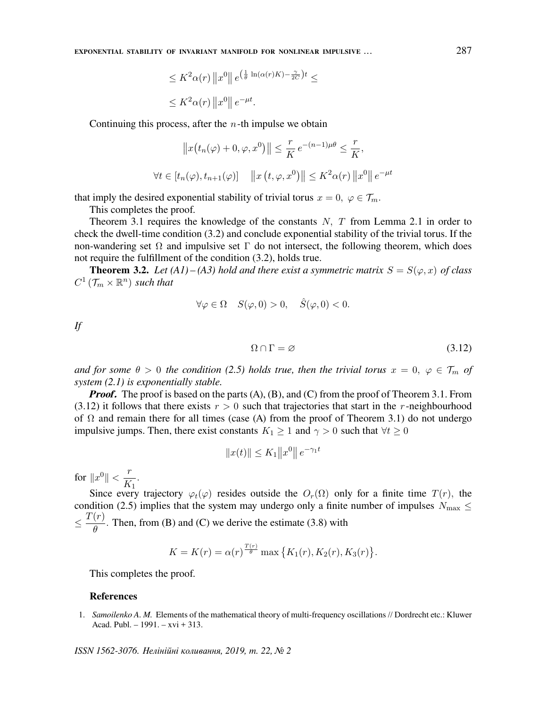EXPONENTIAL STABILITY OF INVARIANT MANIFOLD FOR NONLINEAR IMPULSIVE . . . 287

$$
\leq K^2 \alpha(r) \|x^0\| e^{\left(\frac{1}{\theta} \ln(\alpha(r)K) - \frac{\gamma}{2C}\right)t} \leq
$$
  

$$
\leq K^2 \alpha(r) \|x^0\| e^{-\mu t}.
$$

Continuing this process, after the  $n$ -th impulse we obtain

$$
||x(t_n(\varphi) + 0, \varphi, x^0)|| \le \frac{r}{K} e^{-(n-1)\mu\theta} \le \frac{r}{K},
$$
  

$$
\forall t \in [t_n(\varphi), t_{n+1}(\varphi)] \quad ||x(t, \varphi, x^0)|| \le K^2 \alpha(r) ||x^0|| e^{-\mu t}
$$

that imply the desired exponential stability of trivial torus  $x = 0, \varphi \in \mathcal{T}_m$ .

This completes the proof.

Theorem 3.1 requires the knowledge of the constants  $N$ ,  $T$  from Lemma 2.1 in order to check the dwell-time condition (3.2) and conclude exponential stability of the trivial torus. If the non-wandering set  $\Omega$  and impulsive set  $\Gamma$  do not intersect, the following theorem, which does not require the fulfillment of the condition (3.2), holds true.

**Theorem 3.2.** Let (A1) – (A3) hold and there exist a symmetric matrix  $S = S(\varphi, x)$  of class  $C^1$  ( $\mathcal{T}_m \times \mathbb{R}^n$ ) such that

$$
\forall \varphi \in \Omega \quad S(\varphi, 0) > 0, \quad \hat{S}(\varphi, 0) < 0.
$$

If

$$
\Omega \cap \Gamma = \varnothing \tag{3.12}
$$

and for some  $\theta > 0$  the condition (2.5) holds true, then the trivial torus  $x = 0, \varphi \in \mathcal{T}_m$  of system  $(2.1)$  is exponentially stable.

**Proof.** The proof is based on the parts  $(A)$ ,  $(B)$ , and  $(C)$  from the proof of Theorem 3.1. From  $(3.12)$  it follows that there exists  $r > 0$  such that trajectories that start in the r-neighbourhood of  $\Omega$  and remain there for all times (case (A) from the proof of Theorem 3.1) do not undergo impulsive jumps. Then, there exist constants  $K_1 \geq 1$  and  $\gamma > 0$  such that  $\forall t \geq 0$ 

$$
||x(t)|| \le K_1 ||x^0|| e^{-\gamma_1 t}
$$

for  $||x^0|| < \frac{r}{K}$  $\frac{1}{K_1}$ .

Since every trajectory  $\varphi_t(\varphi)$  resides outside the  $O_r(\Omega)$  only for a finite time  $T(r)$ , the condition (2.5) implies that the system may undergo only a finite number of impulses  $N_{\text{max}} \leq$  $\leq \frac{T(r)}{a}$  $\frac{\partial^2}{\partial \theta}$ . Then, from (B) and (C) we derive the estimate (3.8) with

$$
K = K(r) = \alpha(r)^{\frac{T(r)}{\theta}} \max \{ K_1(r), K_2(r), K_3(r) \}.
$$

This completes the proof.

#### References

1. Samoilenko A. M. Elements of the mathematical theory of multi-frequency oscillations // Dordrecht etc.: Kluwer Acad. Publ. – 1991. – xvi + 313.